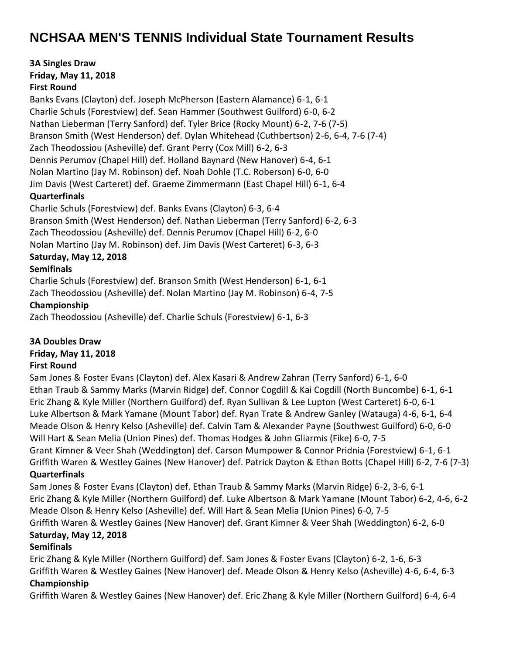# **NCHSAA MEN'S TENNIS Individual State Tournament Results**

**3A Singles Draw**

**Friday, May 11, 2018**

#### **First Round**

Banks Evans (Clayton) def. Joseph McPherson (Eastern Alamance) 6-1, 6-1 Charlie Schuls (Forestview) def. Sean Hammer (Southwest Guilford) 6-0, 6-2 Nathan Lieberman (Terry Sanford) def. Tyler Brice (Rocky Mount) 6-2, 7-6 (7-5) Branson Smith (West Henderson) def. Dylan Whitehead (Cuthbertson) 2-6, 6-4, 7-6 (7-4) Zach Theodossiou (Asheville) def. Grant Perry (Cox Mill) 6-2, 6-3 Dennis Perumov (Chapel Hill) def. Holland Baynard (New Hanover) 6-4, 6-1 Nolan Martino (Jay M. Robinson) def. Noah Dohle (T.C. Roberson) 6-0, 6-0 Jim Davis (West Carteret) def. Graeme Zimmermann (East Chapel Hill) 6-1, 6-4 **Quarterfinals** Charlie Schuls (Forestview) def. Banks Evans (Clayton) 6-3, 6-4

Branson Smith (West Henderson) def. Nathan Lieberman (Terry Sanford) 6-2, 6-3

Zach Theodossiou (Asheville) def. Dennis Perumov (Chapel Hill) 6-2, 6-0

Nolan Martino (Jay M. Robinson) def. Jim Davis (West Carteret) 6-3, 6-3

# **Saturday, May 12, 2018**

### **Semifinals**

Charlie Schuls (Forestview) def. Branson Smith (West Henderson) 6-1, 6-1 Zach Theodossiou (Asheville) def. Nolan Martino (Jay M. Robinson) 6-4, 7-5

### **Championship**

Zach Theodossiou (Asheville) def. Charlie Schuls (Forestview) 6-1, 6-3

### **3A Doubles Draw**

# **Friday, May 11, 2018**

### **First Round**

Sam Jones & Foster Evans (Clayton) def. Alex Kasari & Andrew Zahran (Terry Sanford) 6-1, 6-0 Ethan Traub & Sammy Marks (Marvin Ridge) def. Connor Cogdill & Kai Cogdill (North Buncombe) 6-1, 6-1 Eric Zhang & Kyle Miller (Northern Guilford) def. Ryan Sullivan & Lee Lupton (West Carteret) 6-0, 6-1 Luke Albertson & Mark Yamane (Mount Tabor) def. Ryan Trate & Andrew Ganley (Watauga) 4-6, 6-1, 6-4 Meade Olson & Henry Kelso (Asheville) def. Calvin Tam & Alexander Payne (Southwest Guilford) 6-0, 6-0 Will Hart & Sean Melia (Union Pines) def. Thomas Hodges & John Gliarmis (Fike) 6-0, 7-5 Grant Kimner & Veer Shah (Weddington) def. Carson Mumpower & Connor Pridnia (Forestview) 6-1, 6-1 Griffith Waren & Westley Gaines (New Hanover) def. Patrick Dayton & Ethan Botts (Chapel Hill) 6-2, 7-6 (7-3) **Quarterfinals**

Sam Jones & Foster Evans (Clayton) def. Ethan Traub & Sammy Marks (Marvin Ridge) 6-2, 3-6, 6-1 Eric Zhang & Kyle Miller (Northern Guilford) def. Luke Albertson & Mark Yamane (Mount Tabor) 6-2, 4-6, 6-2 Meade Olson & Henry Kelso (Asheville) def. Will Hart & Sean Melia (Union Pines) 6-0, 7-5 Griffith Waren & Westley Gaines (New Hanover) def. Grant Kimner & Veer Shah (Weddington) 6-2, 6-0

# **Saturday, May 12, 2018**

# **Semifinals**

Eric Zhang & Kyle Miller (Northern Guilford) def. Sam Jones & Foster Evans (Clayton) 6-2, 1-6, 6-3

Griffith Waren & Westley Gaines (New Hanover) def. Meade Olson & Henry Kelso (Asheville) 4-6, 6-4, 6-3 **Championship**

Griffith Waren & Westley Gaines (New Hanover) def. Eric Zhang & Kyle Miller (Northern Guilford) 6-4, 6-4